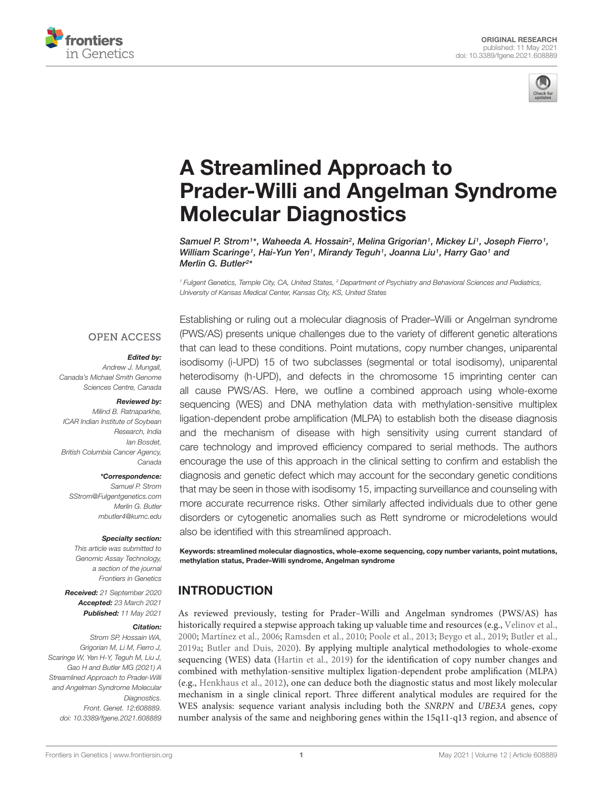



# A Streamlined Approach to [Prader-Willi and Angelman Syndrome](https://www.frontiersin.org/articles/10.3389/fgene.2021.608889/full) Molecular Diagnostics

Samuel P. Strom<sup>1\*</sup>, Waheeda A. Hossain<sup>2</sup>, Melina Grigorian<sup>1</sup>, Mickey Li<sup>1</sup>, Joseph Fierro<sup>1</sup>, William Scaringe1, Hai-Yun Yen1, Mirandy Teguh1, Joanna Liu1, Harry Gao1 and Merlin G. Butler<sup>2</sup> \*

<sup>1</sup> Fulgent Genetics, Temple City, CA, United States, <sup>2</sup> Department of Psychiatry and Behavioral Sciences and Pediatrics, University of Kansas Medical Center, Kansas City, KS, United States

#### **OPEN ACCESS**

#### Edited by:

Andrew J. Mungall, Canada's Michael Smith Genome Sciences Centre, Canada

#### Reviewed by:

Milind B. Ratnaparkhe, ICAR Indian Institute of Soybean Research, India Ian Bosdet, British Columbia Cancer Agency, Canada

\*Correspondence:

Samuel P. Strom SStrom@Fulgentgenetics.com Merlin G. Butler mbutler4@kumc.edu

#### Specialty section:

This article was submitted to Genomic Assay Technology, a section of the journal Frontiers in Genetics

Received: 21 September 2020 Accepted: 23 March 2021 Published: 11 May 2021

#### Citation:

Strom SP, Hossain WA, Grigorian M, Li M, Fierro J, Scaringe W, Yen H-Y, Teguh M, Liu J, Gao H and Butler MG (2021) A Streamlined Approach to Prader-Willi and Angelman Syndrome Molecular Diagnostics. Front. Genet. 12:608889. doi: [10.3389/fgene.2021.608889](https://doi.org/10.3389/fgene.2021.608889)

Establishing or ruling out a molecular diagnosis of Prader–Willi or Angelman syndrome (PWS/AS) presents unique challenges due to the variety of different genetic alterations that can lead to these conditions. Point mutations, copy number changes, uniparental isodisomy (i-UPD) 15 of two subclasses (segmental or total isodisomy), uniparental heterodisomy (h-UPD), and defects in the chromosome 15 imprinting center can all cause PWS/AS. Here, we outline a combined approach using whole-exome sequencing (WES) and DNA methylation data with methylation-sensitive multiplex ligation-dependent probe amplification (MLPA) to establish both the disease diagnosis and the mechanism of disease with high sensitivity using current standard of care technology and improved efficiency compared to serial methods. The authors encourage the use of this approach in the clinical setting to confirm and establish the diagnosis and genetic defect which may account for the secondary genetic conditions that may be seen in those with isodisomy 15, impacting surveillance and counseling with more accurate recurrence risks. Other similarly affected individuals due to other gene disorders or cytogenetic anomalies such as Rett syndrome or microdeletions would also be identified with this streamlined approach.

Keywords: streamlined molecular diagnostics, whole-exome sequencing, copy number variants, point mutations, methylation status, Prader–Willi syndrome, Angelman syndrome

# INTRODUCTION

As reviewed previously, testing for Prader–Willi and Angelman syndromes (PWS/AS) has historically required a stepwise approach taking up valuable time and resources (e.g., [Velinov et al.,](#page-9-0) [2000;](#page-9-0) [Martínez et al.,](#page-8-0) [2006;](#page-8-0) [Ramsden et al.,](#page-8-1) [2010;](#page-8-1) [Poole et al.,](#page-8-2) [2013;](#page-8-2) [Beygo et al.,](#page-8-3) [2019;](#page-8-3) [Butler et al.,](#page-8-4) [2019a;](#page-8-4) [Butler and Duis,](#page-8-5) [2020\)](#page-8-5). By applying multiple analytical methodologies to whole-exome sequencing (WES) data [\(Hartin et al.,](#page-8-6) [2019\)](#page-8-6) for the identification of copy number changes and combined with methylation-sensitive multiplex ligation-dependent probe amplification (MLPA) (e.g., [Henkhaus et al.,](#page-8-7) [2012\)](#page-8-7), one can deduce both the diagnostic status and most likely molecular mechanism in a single clinical report. Three different analytical modules are required for the WES analysis: sequence variant analysis including both the SNRPN and UBE3A genes, copy number analysis of the same and neighboring genes within the 15q11-q13 region, and absence of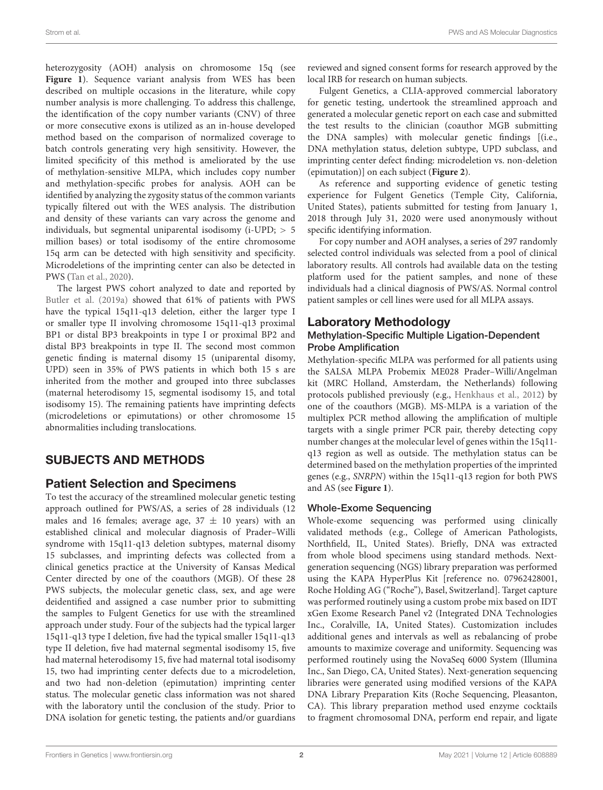heterozygosity (AOH) analysis on chromosome 15q (see [Figure 1](#page-2-0)). Sequence variant analysis from WES has been described on multiple occasions in the literature, while copy number analysis is more challenging. To address this challenge, the identification of the copy number variants (CNV) of three or more consecutive exons is utilized as an in-house developed method based on the comparison of normalized coverage to batch controls generating very high sensitivity. However, the limited specificity of this method is ameliorated by the use of methylation-sensitive MLPA, which includes copy number and methylation-specific probes for analysis. AOH can be identified by analyzing the zygosity status of the common variants typically filtered out with the WES analysis. The distribution and density of these variants can vary across the genome and individuals, but segmental uniparental isodisomy ( $i$ -UPD;  $> 5$ million bases) or total isodisomy of the entire chromosome 15q arm can be detected with high sensitivity and specificity. Microdeletions of the imprinting center can also be detected in PWS [\(Tan et al.,](#page-9-1) [2020\)](#page-9-1).

The largest PWS cohort analyzed to date and reported by [Butler et al.](#page-8-4) [\(2019a\)](#page-8-4) showed that 61% of patients with PWS have the typical 15q11-q13 deletion, either the larger type I or smaller type II involving chromosome 15q11-q13 proximal BP1 or distal BP3 breakpoints in type I or proximal BP2 and distal BP3 breakpoints in type II. The second most common genetic finding is maternal disomy 15 (uniparental disomy, UPD) seen in 35% of PWS patients in which both 15 s are inherited from the mother and grouped into three subclasses (maternal heterodisomy 15, segmental isodisomy 15, and total isodisomy 15). The remaining patients have imprinting defects (microdeletions or epimutations) or other chromosome 15 abnormalities including translocations.

# SUBJECTS AND METHODS

## Patient Selection and Specimens

To test the accuracy of the streamlined molecular genetic testing approach outlined for PWS/AS, a series of 28 individuals (12 males and 16 females; average age,  $37 \pm 10$  years) with an established clinical and molecular diagnosis of Prader–Willi syndrome with 15q11-q13 deletion subtypes, maternal disomy 15 subclasses, and imprinting defects was collected from a clinical genetics practice at the University of Kansas Medical Center directed by one of the coauthors (MGB). Of these 28 PWS subjects, the molecular genetic class, sex, and age were deidentified and assigned a case number prior to submitting the samples to Fulgent Genetics for use with the streamlined approach under study. Four of the subjects had the typical larger 15q11-q13 type I deletion, five had the typical smaller 15q11-q13 type II deletion, five had maternal segmental isodisomy 15, five had maternal heterodisomy 15, five had maternal total isodisomy 15, two had imprinting center defects due to a microdeletion, and two had non-deletion (epimutation) imprinting center status. The molecular genetic class information was not shared with the laboratory until the conclusion of the study. Prior to DNA isolation for genetic testing, the patients and/or guardians

reviewed and signed consent forms for research approved by the local IRB for research on human subjects.

Fulgent Genetics, a CLIA-approved commercial laboratory for genetic testing, undertook the streamlined approach and generated a molecular genetic report on each case and submitted the test results to the clinician (coauthor MGB submitting the DNA samples) with molecular genetic findings [(i.e., DNA methylation status, deletion subtype, UPD subclass, and imprinting center defect finding: microdeletion vs. non-deletion (epimutation)] on each subject (**[Figure 2](#page-2-1)**).

As reference and supporting evidence of genetic testing experience for Fulgent Genetics (Temple City, California, United States), patients submitted for testing from January 1, 2018 through July 31, 2020 were used anonymously without specific identifying information.

For copy number and AOH analyses, a series of 297 randomly selected control individuals was selected from a pool of clinical laboratory results. All controls had available data on the testing platform used for the patient samples, and none of these individuals had a clinical diagnosis of PWS/AS. Normal control patient samples or cell lines were used for all MLPA assays.

## Laboratory Methodology

#### Methylation-Specific Multiple Ligation-Dependent Probe Amplification

Methylation-specific MLPA was performed for all patients using the SALSA MLPA Probemix ME028 Prader–Willi/Angelman kit (MRC Holland, Amsterdam, the Netherlands) following protocols published previously (e.g., [Henkhaus et al.,](#page-8-7) [2012\)](#page-8-7) by one of the coauthors (MGB). MS-MLPA is a variation of the multiplex PCR method allowing the amplification of multiple targets with a single primer PCR pair, thereby detecting copy number changes at the molecular level of genes within the 15q11 q13 region as well as outside. The methylation status can be determined based on the methylation properties of the imprinted genes (e.g., SNRPN) within the 15q11-q13 region for both PWS and AS (see **[Figure 1](#page-2-0)**).

#### Whole-Exome Sequencing

Whole-exome sequencing was performed using clinically validated methods (e.g., College of American Pathologists, Northfield, IL, United States). Briefly, DNA was extracted from whole blood specimens using standard methods. Nextgeneration sequencing (NGS) library preparation was performed using the KAPA HyperPlus Kit [reference no. 07962428001, Roche Holding AG ("Roche"), Basel, Switzerland]. Target capture was performed routinely using a custom probe mix based on IDT xGen Exome Research Panel v2 (Integrated DNA Technologies Inc., Coralville, IA, United States). Customization includes additional genes and intervals as well as rebalancing of probe amounts to maximize coverage and uniformity. Sequencing was performed routinely using the NovaSeq 6000 System (Illumina Inc., San Diego, CA, United States). Next-generation sequencing libraries were generated using modified versions of the KAPA DNA Library Preparation Kits (Roche Sequencing, Pleasanton, CA). This library preparation method used enzyme cocktails to fragment chromosomal DNA, perform end repair, and ligate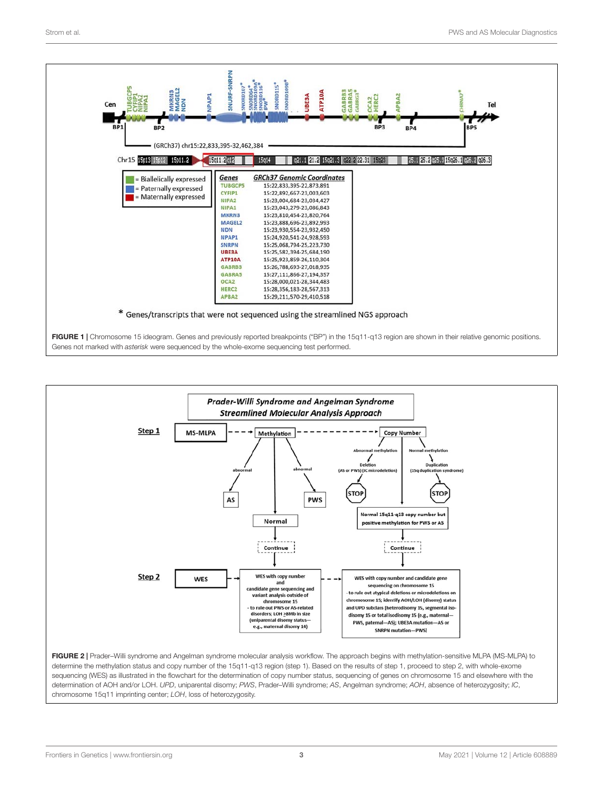

<span id="page-2-0"></span>

<span id="page-2-1"></span>determine the methylation status and copy number of the 15q11-q13 region (step 1). Based on the results of step 1, proceed to step 2, with whole-exome sequencing (WES) as illustrated in the flowchart for the determination of copy number status, sequencing of genes on chromosome 15 and elsewhere with the determination of AOH and/or LOH. UPD, uniparental disomy; PWS, Prader-Willi syndrome; AS, Angelman syndrome; AOH, absence of heterozygosity; IC, chromosome 15q11 imprinting center; LOH, loss of heterozygosity.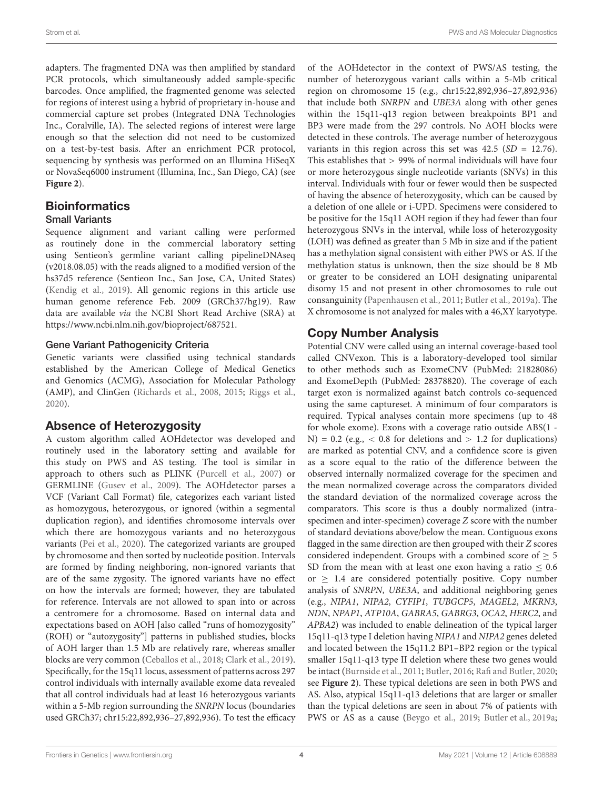adapters. The fragmented DNA was then amplified by standard PCR protocols, which simultaneously added sample-specific barcodes. Once amplified, the fragmented genome was selected for regions of interest using a hybrid of proprietary in-house and commercial capture set probes (Integrated DNA Technologies Inc., Coralville, IA). The selected regions of interest were large enough so that the selection did not need to be customized on a test-by-test basis. After an enrichment PCR protocol, sequencing by synthesis was performed on an Illumina HiSeqX or NovaSeq6000 instrument (Illumina, Inc., San Diego, CA) (see **[Figure 2](#page-2-1)**).

#### **Bioinformatics** Small Variants

Sequence alignment and variant calling were performed as routinely done in the commercial laboratory setting using Sentieon's germline variant calling pipelineDNAseq (v2018.08.05) with the reads aligned to a modified version of the hs37d5 reference (Sentieon Inc., San Jose, CA, United States) [\(Kendig et al.,](#page-8-8) [2019\)](#page-8-8). All genomic regions in this article use human genome reference Feb. 2009 (GRCh37/hg19). Raw data are available via the NCBI Short Read Archive (SRA) at [https://www.ncbi.nlm.nih.gov/bioproject/687521.](https://www.ncbi.nlm.nih.gov/bioproject/687521)

#### Gene Variant Pathogenicity Criteria

Genetic variants were classified using technical standards established by the American College of Medical Genetics and Genomics (ACMG), Association for Molecular Pathology (AMP), and ClinGen [\(Richards et al.,](#page-8-9) [2008,](#page-8-9) [2015;](#page-8-10) [Riggs et al.,](#page-9-2) [2020\)](#page-9-2).

## Absence of Heterozygosity

A custom algorithm called AOHdetector was developed and routinely used in the laboratory setting and available for this study on PWS and AS testing. The tool is similar in approach to others such as PLINK [\(Purcell et al.,](#page-8-11) [2007\)](#page-8-11) or GERMLINE [\(Gusev et al.,](#page-8-12) [2009\)](#page-8-12). The AOHdetector parses a VCF (Variant Call Format) file, categorizes each variant listed as homozygous, heterozygous, or ignored (within a segmental duplication region), and identifies chromosome intervals over which there are homozygous variants and no heterozygous variants [\(Pei et al.,](#page-8-13) [2020\)](#page-8-13). The categorized variants are grouped by chromosome and then sorted by nucleotide position. Intervals are formed by finding neighboring, non-ignored variants that are of the same zygosity. The ignored variants have no effect on how the intervals are formed; however, they are tabulated for reference. Intervals are not allowed to span into or across a centromere for a chromosome. Based on internal data and expectations based on AOH [also called "runs of homozygosity" (ROH) or "autozygosity"] patterns in published studies, blocks of AOH larger than 1.5 Mb are relatively rare, whereas smaller blocks are very common [\(Ceballos et al.,](#page-8-14) [2018;](#page-8-14) [Clark et al.,](#page-8-15) [2019\)](#page-8-15). Specifically, for the 15q11 locus, assessment of patterns across 297 control individuals with internally available exome data revealed that all control individuals had at least 16 heterozygous variants within a 5-Mb region surrounding the SNRPN locus (boundaries used GRCh37; chr15:22,892,936–27,892,936). To test the efficacy of the AOHdetector in the context of PWS/AS testing, the number of heterozygous variant calls within a 5-Mb critical region on chromosome 15 (e.g., chr15:22,892,936–27,892,936) that include both SNRPN and UBE3A along with other genes within the 15q11-q13 region between breakpoints BP1 and BP3 were made from the 297 controls. No AOH blocks were detected in these controls. The average number of heterozygous variants in this region across this set was  $42.5$  (SD = 12.76). This establishes that > 99% of normal individuals will have four or more heterozygous single nucleotide variants (SNVs) in this interval. Individuals with four or fewer would then be suspected of having the absence of heterozygosity, which can be caused by a deletion of one allele or i-UPD. Specimens were considered to be positive for the 15q11 AOH region if they had fewer than four heterozygous SNVs in the interval, while loss of heterozygosity (LOH) was defined as greater than 5 Mb in size and if the patient has a methylation signal consistent with either PWS or AS. If the methylation status is unknown, then the size should be 8 Mb or greater to be considered an LOH designating uniparental disomy 15 and not present in other chromosomes to rule out consanguinity [\(Papenhausen et al.,](#page-8-16) [2011;](#page-8-16) [Butler et al.,](#page-8-4) [2019a\)](#page-8-4). The X chromosome is not analyzed for males with a 46,XY karyotype.

## Copy Number Analysis

Potential CNV were called using an internal coverage-based tool called CNVexon. This is a laboratory-developed tool similar to other methods such as ExomeCNV (PubMed: 21828086) and ExomeDepth (PubMed: 28378820). The coverage of each target exon is normalized against batch controls co-sequenced using the same captureset. A minimum of four comparators is required. Typical analyses contain more specimens (up to 48 for whole exome). Exons with a coverage ratio outside ABS(1 -  $N$ ) = 0.2 (e.g., < 0.8 for deletions and > 1.2 for duplications) are marked as potential CNV, and a confidence score is given as a score equal to the ratio of the difference between the observed internally normalized coverage for the specimen and the mean normalized coverage across the comparators divided the standard deviation of the normalized coverage across the comparators. This score is thus a doubly normalized (intraspecimen and inter-specimen) coverage Z score with the number of standard deviations above/below the mean. Contiguous exons flagged in the same direction are then grouped with their Z scores considered independent. Groups with a combined score of  $> 5$ SD from the mean with at least one exon having a ratio  $\leq 0.6$ or  $> 1.4$  are considered potentially positive. Copy number analysis of SNRPN, UBE3A, and additional neighboring genes (e.g., NIPA1, NIPA2, CYFIP1, TUBGCP5, MAGEL2, MKRN3, NDN, NPAP1, ATP10A, GABRA5, GABRG3, OCA2, HERC2, and APBA2) was included to enable delineation of the typical larger 15q11-q13 type I deletion having NIPA1 and NIPA2 genes deleted and located between the 15q11.2 BP1–BP2 region or the typical smaller 15q11-q13 type II deletion where these two genes would be intact [\(Burnside et al.,](#page-8-17) [2011;](#page-8-17) [Butler,](#page-8-18) [2016;](#page-8-18) [Rafi and Butler,](#page-8-19) [2020;](#page-8-19) see **[Figure 2](#page-2-1)**). These typical deletions are seen in both PWS and AS. Also, atypical 15q11-q13 deletions that are larger or smaller than the typical deletions are seen in about 7% of patients with PWS or AS as a cause [\(Beygo et al.,](#page-8-3) [2019;](#page-8-3) [Butler et al.,](#page-8-4) [2019a;](#page-8-4)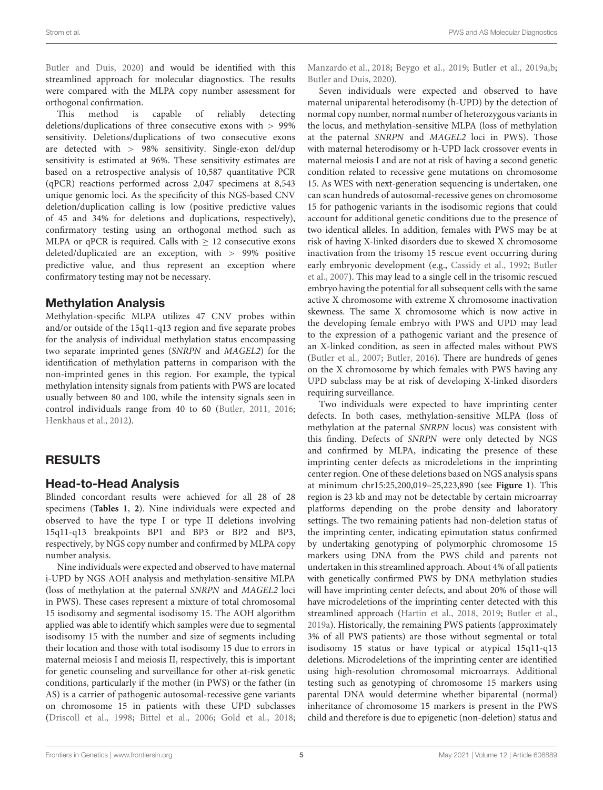[Butler and Duis,](#page-8-5) [2020\)](#page-8-5) and would be identified with this streamlined approach for molecular diagnostics. The results were compared with the MLPA copy number assessment for orthogonal confirmation.

This method is capable of reliably detecting deletions/duplications of three consecutive exons with > 99% sensitivity. Deletions/duplications of two consecutive exons are detected with > 98% sensitivity. Single-exon del/dup sensitivity is estimated at 96%. These sensitivity estimates are based on a retrospective analysis of 10,587 quantitative PCR (qPCR) reactions performed across 2,047 specimens at 8,543 unique genomic loci. As the specificity of this NGS-based CNV deletion/duplication calling is low (positive predictive values of 45 and 34% for deletions and duplications, respectively), confirmatory testing using an orthogonal method such as MLPA or qPCR is required. Calls with  $\geq 12$  consecutive exons deleted/duplicated are an exception, with > 99% positive predictive value, and thus represent an exception where confirmatory testing may not be necessary.

#### Methylation Analysis

Methylation-specific MLPA utilizes 47 CNV probes within and/or outside of the 15q11-q13 region and five separate probes for the analysis of individual methylation status encompassing two separate imprinted genes (SNRPN and MAGEL2) for the identification of methylation patterns in comparison with the non-imprinted genes in this region. For example, the typical methylation intensity signals from patients with PWS are located usually between 80 and 100, while the intensity signals seen in control individuals range from 40 to 60 [\(Butler,](#page-8-20) [2011,](#page-8-20) [2016;](#page-8-18) [Henkhaus et al.,](#page-8-7) [2012\)](#page-8-7).

# RESULTS

## Head-to-Head Analysis

Blinded concordant results were achieved for all 28 of 28 specimens (**[Tables 1](#page-5-0)**, **[2](#page-6-0)**). Nine individuals were expected and observed to have the type I or type II deletions involving 15q11-q13 breakpoints BP1 and BP3 or BP2 and BP3, respectively, by NGS copy number and confirmed by MLPA copy number analysis.

Nine individuals were expected and observed to have maternal i-UPD by NGS AOH analysis and methylation-sensitive MLPA (loss of methylation at the paternal SNRPN and MAGEL2 loci in PWS). These cases represent a mixture of total chromosomal 15 isodisomy and segmental isodisomy 15. The AOH algorithm applied was able to identify which samples were due to segmental isodisomy 15 with the number and size of segments including their location and those with total isodisomy 15 due to errors in maternal meiosis I and meiosis II, respectively, this is important for genetic counseling and surveillance for other at-risk genetic conditions, particularly if the mother (in PWS) or the father (in AS) is a carrier of pathogenic autosomal-recessive gene variants on chromosome 15 in patients with these UPD subclasses [\(Driscoll et al.,](#page-8-21) [1998;](#page-8-21) [Bittel et al.,](#page-8-22) [2006;](#page-8-22) [Gold et al.,](#page-8-23) [2018;](#page-8-23)

[Manzardo et al.,](#page-8-24) [2018;](#page-8-24) [Beygo et al.,](#page-8-3) [2019;](#page-8-3) [Butler et al.,](#page-8-4) [2019a](#page-8-4)[,b;](#page-8-25) [Butler and Duis,](#page-8-5) [2020\)](#page-8-5).

Seven individuals were expected and observed to have maternal uniparental heterodisomy (h-UPD) by the detection of normal copy number, normal number of heterozygous variants in the locus, and methylation-sensitive MLPA (loss of methylation at the paternal SNRPN and MAGEL2 loci in PWS). Those with maternal heterodisomy or h-UPD lack crossover events in maternal meiosis I and are not at risk of having a second genetic condition related to recessive gene mutations on chromosome 15. As WES with next-generation sequencing is undertaken, one can scan hundreds of autosomal-recessive genes on chromosome 15 for pathogenic variants in the isodisomic regions that could account for additional genetic conditions due to the presence of two identical alleles. In addition, females with PWS may be at risk of having X-linked disorders due to skewed X chromosome inactivation from the trisomy 15 rescue event occurring during early embryonic development (e.g., [Cassidy et al.,](#page-8-26) [1992;](#page-8-26) [Butler](#page-8-27) [et al.,](#page-8-27) [2007\)](#page-8-27). This may lead to a single cell in the trisomic rescued embryo having the potential for all subsequent cells with the same active X chromosome with extreme X chromosome inactivation skewness. The same X chromosome which is now active in the developing female embryo with PWS and UPD may lead to the expression of a pathogenic variant and the presence of an X-linked condition, as seen in affected males without PWS [\(Butler et al.,](#page-8-27) [2007;](#page-8-27) [Butler,](#page-8-18) [2016\)](#page-8-18). There are hundreds of genes on the X chromosome by which females with PWS having any UPD subclass may be at risk of developing X-linked disorders requiring surveillance.

Two individuals were expected to have imprinting center defects. In both cases, methylation-sensitive MLPA (loss of methylation at the paternal SNRPN locus) was consistent with this finding. Defects of SNRPN were only detected by NGS and confirmed by MLPA, indicating the presence of these imprinting center defects as microdeletions in the imprinting center region. One of these deletions based on NGS analysis spans at minimum chr15:25,200,019–25,223,890 (see **[Figure 1](#page-2-0)**). This region is 23 kb and may not be detectable by certain microarray platforms depending on the probe density and laboratory settings. The two remaining patients had non-deletion status of the imprinting center, indicating epimutation status confirmed by undertaking genotyping of polymorphic chromosome 15 markers using DNA from the PWS child and parents not undertaken in this streamlined approach. About 4% of all patients with genetically confirmed PWS by DNA methylation studies will have imprinting center defects, and about 20% of those will have microdeletions of the imprinting center detected with this streamlined approach [\(Hartin et al.,](#page-8-28) [2018,](#page-8-28) [2019;](#page-8-6) [Butler et al.,](#page-8-4) [2019a\)](#page-8-4). Historically, the remaining PWS patients (approximately 3% of all PWS patients) are those without segmental or total isodisomy 15 status or have typical or atypical 15q11-q13 deletions. Microdeletions of the imprinting center are identified using high-resolution chromosomal microarrays. Additional testing such as genotyping of chromosome 15 markers using parental DNA would determine whether biparental (normal) inheritance of chromosome 15 markers is present in the PWS child and therefore is due to epigenetic (non-deletion) status and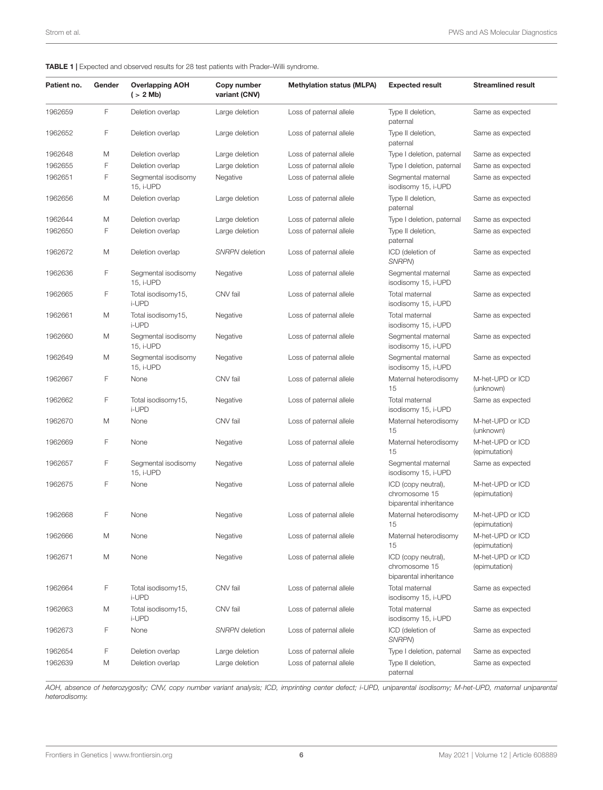#### <span id="page-5-0"></span>TABLE 1 | Expected and observed results for 28 test patients with Prader–Willi syndrome.

| Patient no. | Gender | <b>Overlapping AOH</b><br>$($ > 2 Mb) | Copy number<br>variant (CNV) | <b>Methylation status (MLPA)</b> | <b>Expected result</b>                                         | <b>Streamlined result</b>         |
|-------------|--------|---------------------------------------|------------------------------|----------------------------------|----------------------------------------------------------------|-----------------------------------|
| 1962659     | F      | Deletion overlap                      | Large deletion               | Loss of paternal allele          | Type II deletion,<br>paternal                                  | Same as expected                  |
| 1962652     | F      | Deletion overlap                      | Large deletion               | Loss of paternal allele          | Type II deletion,<br>paternal                                  | Same as expected                  |
| 1962648     | M      | Deletion overlap                      | Large deletion               | Loss of paternal allele          | Type I deletion, paternal                                      | Same as expected                  |
| 1962655     | F      | Deletion overlap                      | Large deletion               | Loss of paternal allele          | Type I deletion, paternal                                      | Same as expected                  |
| 1962651     | F      | Segmental isodisomy<br>15, i-UPD      | Negative                     | Loss of paternal allele          | Segmental maternal<br>isodisomy 15, i-UPD                      | Same as expected                  |
| 1962656     | M      | Deletion overlap                      | Large deletion               | Loss of paternal allele          | Type II deletion,<br>paternal                                  | Same as expected                  |
| 1962644     | M      | Deletion overlap                      | Large deletion               | Loss of paternal allele          | Type I deletion, paternal                                      | Same as expected                  |
| 1962650     | F      | Deletion overlap                      | Large deletion               | Loss of paternal allele          | Type II deletion,<br>paternal                                  | Same as expected                  |
| 1962672     | M      | Deletion overlap                      | SNRPN deletion               | Loss of paternal allele          | ICD (deletion of<br>SNRPN)                                     | Same as expected                  |
| 1962636     | F      | Segmental isodisomy<br>15, i-UPD      | Negative                     | Loss of paternal allele          | Segmental maternal<br>isodisomy 15, i-UPD                      | Same as expected                  |
| 1962665     | F      | Total isodisomy15,<br>i-UPD           | CNV fail                     | Loss of paternal allele          | Total maternal<br>isodisomy 15, i-UPD                          | Same as expected                  |
| 1962661     | M      | Total isodisomy15,<br>i-UPD           | Negative                     | Loss of paternal allele          | Total maternal<br>isodisomy 15, i-UPD                          | Same as expected                  |
| 1962660     | M      | Segmental isodisomy<br>15, i-UPD      | Negative                     | Loss of paternal allele          | Segmental maternal<br>isodisomy 15, i-UPD                      | Same as expected                  |
| 1962649     | M      | Segmental isodisomy<br>15, i-UPD      | Negative                     | Loss of paternal allele          | Segmental maternal<br>isodisomy 15, i-UPD                      | Same as expected                  |
| 1962667     | F      | None                                  | CNV fail                     | Loss of paternal allele          | Maternal heterodisomy<br>15                                    | M-het-UPD or ICD<br>(unknown)     |
| 1962662     | F      | Total isodisomy15,<br>i-UPD           | Negative                     | Loss of paternal allele          | Total maternal<br>isodisomy 15, i-UPD                          | Same as expected                  |
| 1962670     | M      | None                                  | CNV fail                     | Loss of paternal allele          | Maternal heterodisomy<br>15                                    | M-het-UPD or ICD<br>(unknown)     |
| 1962669     | F      | None                                  | Negative                     | Loss of paternal allele          | Maternal heterodisomy<br>15                                    | M-het-UPD or ICD<br>(epimutation) |
| 1962657     | F      | Segmental isodisomy<br>15, i-UPD      | Negative                     | Loss of paternal allele          | Segmental maternal<br>isodisomy 15, i-UPD                      | Same as expected                  |
| 1962675     | F      | None                                  | Negative                     | Loss of paternal allele          | ICD (copy neutral),<br>chromosome 15<br>biparental inheritance | M-het-UPD or ICD<br>(epimutation) |
| 1962668     | F      | None                                  | Negative                     | Loss of paternal allele          | Maternal heterodisomy<br>15                                    | M-het-UPD or ICD<br>(epimutation) |
| 1962666     | M      | None                                  | Negative                     | Loss of paternal allele          | Maternal heterodisomy<br>15                                    | M-het-UPD or ICD<br>(epimutation) |
| 1962671     | M      | None                                  | Negative                     | Loss of paternal allele          | ICD (copy neutral),<br>chromosome 15<br>biparental inheritance | M-het-UPD or ICD<br>(epimutation) |
| 1962664     | F      | Total isodisomy15,<br>i-UPD           | CNV fail                     | Loss of paternal allele          | Total maternal<br>isodisomy 15, i-UPD                          | Same as expected                  |
| 1962663     | M      | Total isodisomy15,<br>i-UPD           | CNV fail                     | Loss of paternal allele          | Total maternal<br>isodisomy 15, i-UPD                          | Same as expected                  |
| 1962673     | F      | None                                  | SNRPN deletion               | Loss of paternal allele          | ICD (deletion of<br>SNRPN)                                     | Same as expected                  |
| 1962654     | F      | Deletion overlap                      | Large deletion               | Loss of paternal allele          | Type I deletion, paternal                                      | Same as expected                  |
| 1962639     | M      | Deletion overlap                      | Large deletion               | Loss of paternal allele          | Type II deletion,<br>paternal                                  | Same as expected                  |

AOH, absence of heterozygosity; CNV, copy number variant analysis; ICD, imprinting center defect; i-UPD, uniparental isodisomy; M-het-UPD, maternal uniparental heterodisomy.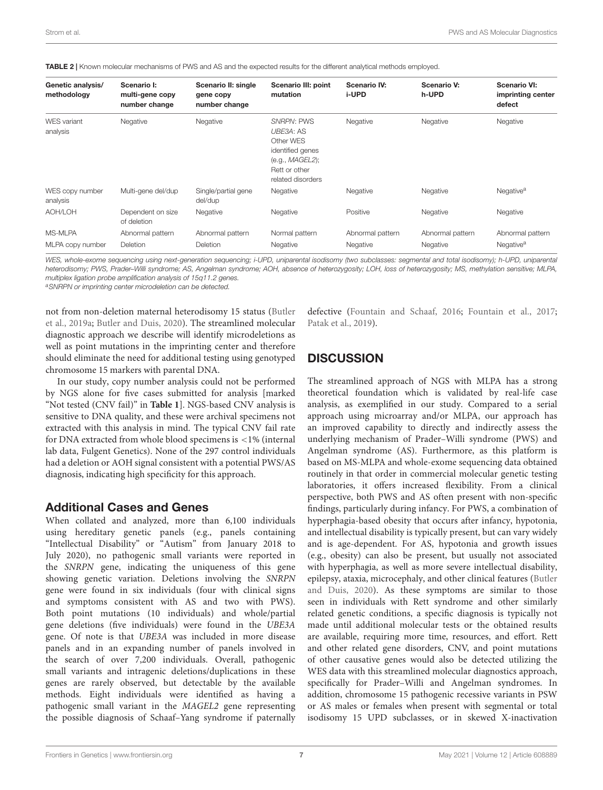| Genetic analysis/<br>methodology | Scenario I:<br>multi-gene copy<br>number change | Scenario II: single<br>gene copy<br>number change | Scenario III: point<br>mutation                                                                                          | <b>Scenario IV:</b><br>i-UPD | Scenario V:<br>h-UPD | <b>Scenario VI:</b><br>imprinting center<br>defect |
|----------------------------------|-------------------------------------------------|---------------------------------------------------|--------------------------------------------------------------------------------------------------------------------------|------------------------------|----------------------|----------------------------------------------------|
| <b>WES</b> variant<br>analysis   | Negative                                        | Negative                                          | <b>SNRPN: PWS</b><br>UBE3A: AS<br>Other WES<br>identified genes<br>(e.q., MAGEL2);<br>Rett or other<br>related disorders | Negative                     | Negative             | Negative                                           |
| WES copy number<br>analysis      | Multi-gene del/dup                              | Single/partial gene<br>del/dup                    | Negative                                                                                                                 | Negative                     | Negative             | Negative <sup>a</sup>                              |
| AOH/LOH                          | Dependent on size<br>of deletion                | Negative                                          | Negative                                                                                                                 | Positive                     | Negative             | Negative                                           |
| MS-MLPA                          | Abnormal pattern                                | Abnormal pattern                                  | Normal pattern                                                                                                           | Abnormal pattern             | Abnormal pattern     | Abnormal pattern                                   |
| MLPA copy number                 | <b>Deletion</b>                                 | Deletion                                          | Negative                                                                                                                 | Negative                     | Negative             | Negative <sup>a</sup>                              |

<span id="page-6-0"></span>TABLE 2 | Known molecular mechanisms of PWS and AS and the expected results for the different analytical methods employed.

WES, whole-exome sequencing using next-generation sequencing; i-UPD, uniparental isodisomy (two subclasses: segmental and total isodisomy); h-UPD, uniparental heterodisomy; PWS, Prader-Willi syndrome; AS, Angelman syndrome; AOH, absence of heterozygosity; LOH, loss of heterozygosity; MS, methylation sensitive; MLPA, multiplex ligation probe amplification analysis of 15q11.2 genes.

a SNRPN or imprinting center microdeletion can be detected.

not from non-deletion maternal heterodisomy 15 status [\(Butler](#page-8-4) [et al.,](#page-8-4) [2019a;](#page-8-4) [Butler and Duis,](#page-8-5) [2020\)](#page-8-5). The streamlined molecular diagnostic approach we describe will identify microdeletions as well as point mutations in the imprinting center and therefore should eliminate the need for additional testing using genotyped chromosome 15 markers with parental DNA.

In our study, copy number analysis could not be performed by NGS alone for five cases submitted for analysis [marked "Not tested (CNV fail)" in **[Table 1](#page-5-0)**]. NGS-based CNV analysis is sensitive to DNA quality, and these were archival specimens not extracted with this analysis in mind. The typical CNV fail rate for DNA extracted from whole blood specimens is <1% (internal lab data, Fulgent Genetics). None of the 297 control individuals had a deletion or AOH signal consistent with a potential PWS/AS diagnosis, indicating high specificity for this approach.

#### Additional Cases and Genes

When collated and analyzed, more than 6,100 individuals using hereditary genetic panels (e.g., panels containing "Intellectual Disability" or "Autism" from January 2018 to July 2020), no pathogenic small variants were reported in the SNRPN gene, indicating the uniqueness of this gene showing genetic variation. Deletions involving the SNRPN gene were found in six individuals (four with clinical signs and symptoms consistent with AS and two with PWS). Both point mutations (10 individuals) and whole/partial gene deletions (five individuals) were found in the UBE3A gene. Of note is that UBE3A was included in more disease panels and in an expanding number of panels involved in the search of over 7,200 individuals. Overall, pathogenic small variants and intragenic deletions/duplications in these genes are rarely observed, but detectable by the available methods. Eight individuals were identified as having a pathogenic small variant in the MAGEL2 gene representing the possible diagnosis of Schaaf–Yang syndrome if paternally defective [\(Fountain and Schaaf,](#page-8-29) [2016;](#page-8-29) [Fountain et al.,](#page-8-30) [2017;](#page-8-30) [Patak et al.,](#page-8-31) [2019\)](#page-8-31).

## **DISCUSSION**

The streamlined approach of NGS with MLPA has a strong theoretical foundation which is validated by real-life case analysis, as exemplified in our study. Compared to a serial approach using microarray and/or MLPA, our approach has an improved capability to directly and indirectly assess the underlying mechanism of Prader–Willi syndrome (PWS) and Angelman syndrome (AS). Furthermore, as this platform is based on MS-MLPA and whole-exome sequencing data obtained routinely in that order in commercial molecular genetic testing laboratories, it offers increased flexibility. From a clinical perspective, both PWS and AS often present with non-specific findings, particularly during infancy. For PWS, a combination of hyperphagia-based obesity that occurs after infancy, hypotonia, and intellectual disability is typically present, but can vary widely and is age-dependent. For AS, hypotonia and growth issues (e.g., obesity) can also be present, but usually not associated with hyperphagia, as well as more severe intellectual disability, epilepsy, ataxia, microcephaly, and other clinical features [\(Butler](#page-8-5) [and Duis,](#page-8-5) [2020\)](#page-8-5). As these symptoms are similar to those seen in individuals with Rett syndrome and other similarly related genetic conditions, a specific diagnosis is typically not made until additional molecular tests or the obtained results are available, requiring more time, resources, and effort. Rett and other related gene disorders, CNV, and point mutations of other causative genes would also be detected utilizing the WES data with this streamlined molecular diagnostics approach, specifically for Prader–Willi and Angelman syndromes. In addition, chromosome 15 pathogenic recessive variants in PSW or AS males or females when present with segmental or total isodisomy 15 UPD subclasses, or in skewed X-inactivation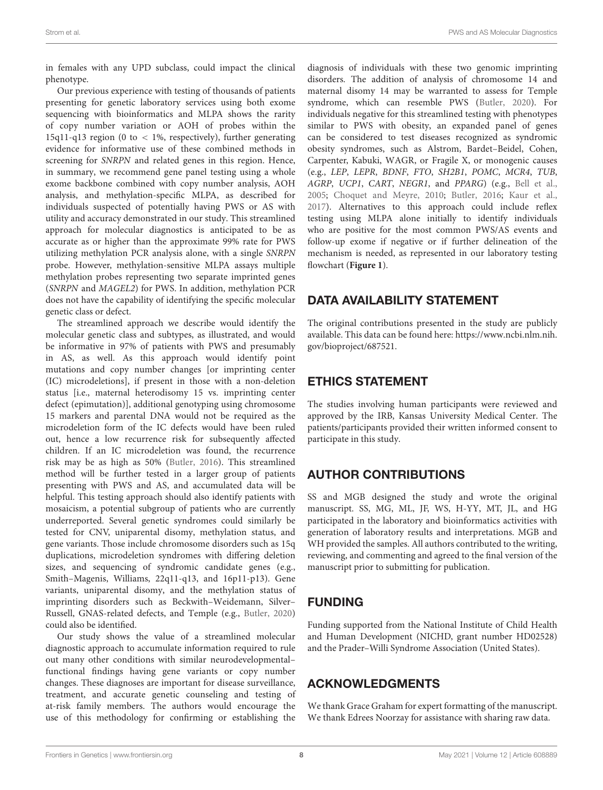in females with any UPD subclass, could impact the clinical phenotype.

Our previous experience with testing of thousands of patients presenting for genetic laboratory services using both exome sequencing with bioinformatics and MLPA shows the rarity of copy number variation or AOH of probes within the 15q11-q13 region (0 to < 1%, respectively), further generating evidence for informative use of these combined methods in screening for SNRPN and related genes in this region. Hence, in summary, we recommend gene panel testing using a whole exome backbone combined with copy number analysis, AOH analysis, and methylation-specific MLPA, as described for individuals suspected of potentially having PWS or AS with utility and accuracy demonstrated in our study. This streamlined approach for molecular diagnostics is anticipated to be as accurate as or higher than the approximate 99% rate for PWS utilizing methylation PCR analysis alone, with a single SNRPN probe. However, methylation-sensitive MLPA assays multiple methylation probes representing two separate imprinted genes (SNRPN and MAGEL2) for PWS. In addition, methylation PCR does not have the capability of identifying the specific molecular genetic class or defect.

The streamlined approach we describe would identify the molecular genetic class and subtypes, as illustrated, and would be informative in 97% of patients with PWS and presumably in AS, as well. As this approach would identify point mutations and copy number changes [or imprinting center (IC) microdeletions], if present in those with a non-deletion status [i.e., maternal heterodisomy 15 vs. imprinting center defect (epimutation)], additional genotyping using chromosome 15 markers and parental DNA would not be required as the microdeletion form of the IC defects would have been ruled out, hence a low recurrence risk for subsequently affected children. If an IC microdeletion was found, the recurrence risk may be as high as 50% [\(Butler,](#page-8-18) [2016\)](#page-8-18). This streamlined method will be further tested in a larger group of patients presenting with PWS and AS, and accumulated data will be helpful. This testing approach should also identify patients with mosaicism, a potential subgroup of patients who are currently underreported. Several genetic syndromes could similarly be tested for CNV, uniparental disomy, methylation status, and gene variants. Those include chromosome disorders such as 15q duplications, microdeletion syndromes with differing deletion sizes, and sequencing of syndromic candidate genes (e.g., Smith–Magenis, Williams, 22q11-q13, and 16p11-p13). Gene variants, uniparental disomy, and the methylation status of imprinting disorders such as Beckwith–Weidemann, Silver– Russell, GNAS-related defects, and Temple (e.g., [Butler,](#page-8-32) [2020\)](#page-8-32) could also be identified.

Our study shows the value of a streamlined molecular diagnostic approach to accumulate information required to rule out many other conditions with similar neurodevelopmental– functional findings having gene variants or copy number changes. These diagnoses are important for disease surveillance, treatment, and accurate genetic counseling and testing of at-risk family members. The authors would encourage the use of this methodology for confirming or establishing the diagnosis of individuals with these two genomic imprinting disorders. The addition of analysis of chromosome 14 and maternal disomy 14 may be warranted to assess for Temple syndrome, which can resemble PWS [\(Butler,](#page-8-32) [2020\)](#page-8-32). For individuals negative for this streamlined testing with phenotypes similar to PWS with obesity, an expanded panel of genes can be considered to test diseases recognized as syndromic obesity syndromes, such as Alstrom, Bardet–Beidel, Cohen, Carpenter, Kabuki, WAGR, or Fragile X, or monogenic causes (e.g., LEP, LEPR, BDNF, FTO, SH2B1, POMC, MCR4, TUB, AGRP, UCP1, CART, NEGR1, and PPARG) (e.g., [Bell et al.,](#page-8-33) [2005;](#page-8-33) [Choquet and Meyre,](#page-8-34) [2010;](#page-8-34) [Butler,](#page-8-18) [2016;](#page-8-18) [Kaur et al.,](#page-8-35) [2017\)](#page-8-35). Alternatives to this approach could include reflex testing using MLPA alone initially to identify individuals who are positive for the most common PWS/AS events and follow-up exome if negative or if further delineation of the mechanism is needed, as represented in our laboratory testing flowchart (**[Figure 1](#page-2-0)**).

## DATA AVAILABILITY STATEMENT

The original contributions presented in the study are publicly available. This data can be found here: [https://www.ncbi.nlm.nih.](https://www.ncbi.nlm.nih.gov/bioproject/687521) [gov/bioproject/687521.](https://www.ncbi.nlm.nih.gov/bioproject/687521)

# ETHICS STATEMENT

The studies involving human participants were reviewed and approved by the IRB, Kansas University Medical Center. The patients/participants provided their written informed consent to participate in this study.

# AUTHOR CONTRIBUTIONS

SS and MGB designed the study and wrote the original manuscript. SS, MG, ML, JF, WS, H-YY, MT, JL, and HG participated in the laboratory and bioinformatics activities with generation of laboratory results and interpretations. MGB and WH provided the samples. All authors contributed to the writing, reviewing, and commenting and agreed to the final version of the manuscript prior to submitting for publication.

# FUNDING

Funding supported from the National Institute of Child Health and Human Development (NICHD, grant number HD02528) and the Prader–Willi Syndrome Association (United States).

# ACKNOWLEDGMENTS

We thank Grace Graham for expert formatting of the manuscript. We thank Edrees Noorzay for assistance with sharing raw data.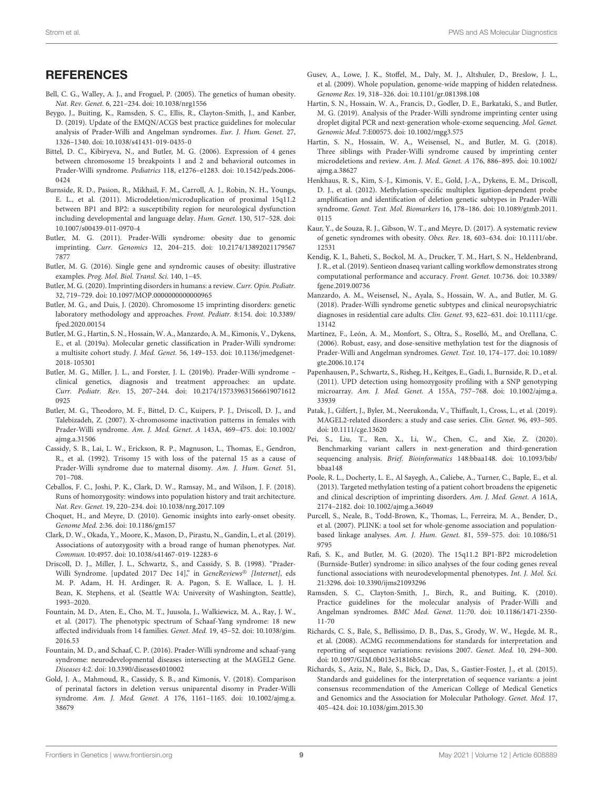#### **REFERENCES**

- <span id="page-8-33"></span>Bell, C. G., Walley, A. J., and Froguel, P. (2005). The genetics of human obesity. Nat. Rev. Genet. 6, 221–234. [doi: 10.1038/nrg1556](https://doi.org/10.1038/nrg1556)
- <span id="page-8-3"></span>Beygo, J., Buiting, K., Ramsden, S. C., Ellis, R., Clayton-Smith, J., and Kanber, D. (2019). Update of the EMQN/ACGS best practice guidelines for molecular analysis of Prader-Willi and Angelman syndromes. Eur. J. Hum. Genet. 27, 1326–1340. [doi: 10.1038/s41431-019-0435-0](https://doi.org/10.1038/s41431-019-0435-0)
- <span id="page-8-22"></span>Bittel, D. C., Kibiryeva, N., and Butler, M. G. (2006). Expression of 4 genes between chromosome 15 breakpoints 1 and 2 and behavioral outcomes in Prader-Willi syndrome. Pediatrics 118, e1276–e1283. [doi: 10.1542/peds.2006-](https://doi.org/10.1542/peds.2006-0424) [0424](https://doi.org/10.1542/peds.2006-0424)
- <span id="page-8-17"></span>Burnside, R. D., Pasion, R., Mikhail, F. M., Carroll, A. J., Robin, N. H., Youngs, E. L., et al. (2011). Microdeletion/microduplication of proximal 15q11.2 between BP1 and BP2: a susceptibility region for neurological dysfunction including developmental and language delay. Hum. Genet. 130, 517–528. [doi:](https://doi.org/10.1007/s00439-011-0970-4) [10.1007/s00439-011-0970-4](https://doi.org/10.1007/s00439-011-0970-4)
- <span id="page-8-20"></span>Butler, M. G. (2011). Prader-Willi syndrome: obesity due to genomic imprinting. Curr. Genomics 12, 204–215. [doi: 10.2174/13892021179567](https://doi.org/10.2174/138920211795677877) [7877](https://doi.org/10.2174/138920211795677877)
- <span id="page-8-18"></span>Butler, M. G. (2016). Single gene and syndromic causes of obesity: illustrative examples. Prog. Mol. Biol. Transl. Sci. 140, 1–45.
- <span id="page-8-32"></span>Butler, M. G. (2020). Imprinting disorders in humans: a review. Curr. Opin. Pediatr. 32, 719–729. [doi: 10.1097/MOP.0000000000000965](https://doi.org/10.1097/MOP.0000000000000965)
- <span id="page-8-5"></span>Butler, M. G., and Duis, J. (2020). Chromosome 15 imprinting disorders: genetic laboratory methodology and approaches. Front. Pediatr. 8:154. [doi: 10.3389/](https://doi.org/10.3389/fped.2020.00154) [fped.2020.00154](https://doi.org/10.3389/fped.2020.00154)
- <span id="page-8-4"></span>Butler, M. G., Hartin, S. N., Hossain, W. A., Manzardo, A. M., Kimonis, V., Dykens, E., et al. (2019a). Molecular genetic classification in Prader-Willi syndrome: a multisite cohort study. J. Med. Genet. 56, 149–153. [doi: 10.1136/jmedgenet-](https://doi.org/10.1136/jmedgenet-2018-105301)[2018-105301](https://doi.org/10.1136/jmedgenet-2018-105301)
- <span id="page-8-25"></span>Butler, M. G., Miller, J. L., and Forster, J. L. (2019b). Prader-Willi syndrome – clinical genetics, diagnosis and treatment approaches: an update. Curr. Pediatr. Rev. 15, 207–244. [doi: 10.2174/157339631566619071612](https://doi.org/10.2174/1573396315666190716120925) [0925](https://doi.org/10.2174/1573396315666190716120925)
- <span id="page-8-27"></span>Butler, M. G., Theodoro, M. F., Bittel, D. C., Kuipers, P. J., Driscoll, D. J., and Talebizadeh, Z. (2007). X-chromosome inactivation patterns in females with Prader-Willi syndrome. Am. J. Med. Genet. A 143A, 469–475. [doi: 10.1002/](https://doi.org/10.1002/ajmg.a.31506) [ajmg.a.31506](https://doi.org/10.1002/ajmg.a.31506)
- <span id="page-8-26"></span>Cassidy, S. B., Lai, L. W., Erickson, R. P., Magnuson, L., Thomas, E., Gendron, R., et al. (1992). Trisomy 15 with loss of the paternal 15 as a cause of Prader-Willi syndrome due to maternal disomy. Am. J. Hum. Genet. 51, 701–708.
- <span id="page-8-14"></span>Ceballos, F. C., Joshi, P. K., Clark, D. W., Ramsay, M., and Wilson, J. F. (2018). Runs of homozygosity: windows into population history and trait architecture. Nat. Rev. Genet. 19, 220–234. [doi: 10.1038/nrg.2017.109](https://doi.org/10.1038/nrg.2017.109)
- <span id="page-8-34"></span>Choquet, H., and Meyre, D. (2010). Genomic insights into early-onset obesity. Genome Med. 2:36. [doi: 10.1186/gm157](https://doi.org/10.1186/gm157)
- <span id="page-8-15"></span>Clark, D. W., Okada, Y., Moore, K., Mason, D., Pirastu, N., Gandin, I., et al. (2019). Associations of autozygosity with a broad range of human phenotypes. Nat. Commun. 10:4957. [doi: 10.1038/s41467-019-12283-6](https://doi.org/10.1038/s41467-019-12283-6)
- <span id="page-8-21"></span>Driscoll, D. J., Miller, J. L., Schwartz, S., and Cassidy, S. B. (1998). "Prader-Willi Syndrome. [updated 2017 Dec 14]," in GeneReviews® [Internet], eds M. P. Adam, H. H. Ardinger, R. A. Pagon, S. E. Wallace, L. J. H. Bean, K. Stephens, et al. (Seattle WA: University of Washington, Seattle), 1993–2020.
- <span id="page-8-30"></span>Fountain, M. D., Aten, E., Cho, M. T., Juusola, J., Walkiewicz, M. A., Ray, J. W., et al. (2017). The phenotypic spectrum of Schaaf-Yang syndrome: 18 new affected individuals from 14 families. Genet. Med. 19, 45–52. [doi: 10.1038/gim.](https://doi.org/10.1038/gim.2016.53) [2016.53](https://doi.org/10.1038/gim.2016.53)
- <span id="page-8-29"></span>Fountain, M. D., and Schaaf, C. P. (2016). Prader-Willi syndrome and schaaf-yang syndrome: neurodevelopmental diseases intersecting at the MAGEL2 Gene. Diseases 4:2. [doi: 10.3390/diseases4010002](https://doi.org/10.3390/diseases4010002)
- <span id="page-8-23"></span>Gold, J. A., Mahmoud, R., Cassidy, S. B., and Kimonis, V. (2018). Comparison of perinatal factors in deletion versus uniparental disomy in Prader-Willi syndrome. Am. J. Med. Genet. A 176, 1161–1165. [doi: 10.1002/ajmg.a.](https://doi.org/10.1002/ajmg.a.38679) [38679](https://doi.org/10.1002/ajmg.a.38679)
- <span id="page-8-12"></span>Gusev, A., Lowe, J. K., Stoffel, M., Daly, M. J., Altshuler, D., Breslow, J. L., et al. (2009). Whole population, genome-wide mapping of hidden relatedness. Genome Res. 19, 318–326. [doi: 10.1101/gr.081398.108](https://doi.org/10.1101/gr.081398.108)
- <span id="page-8-6"></span>Hartin, S. N., Hossain, W. A., Francis, D., Godler, D. E., Barkataki, S., and Butler, M. G. (2019). Analysis of the Prader-Willi syndrome imprinting center using droplet digital PCR and next-generation whole-exome sequencing. Mol. Genet. Genomic Med. 7:E00575. [doi: 10.1002/mgg3.575](https://doi.org/10.1002/mgg3.575)
- <span id="page-8-28"></span>Hartin, S. N., Hossain, W. A., Weisensel, N., and Butler, M. G. (2018). Three siblings with Prader-Willi syndrome caused by imprinting center microdeletions and review. Am. J. Med. Genet. A 176, 886–895. [doi: 10.1002/](https://doi.org/10.1002/ajmg.a.38627) [ajmg.a.38627](https://doi.org/10.1002/ajmg.a.38627)
- <span id="page-8-7"></span>Henkhaus, R. S., Kim, S.-J., Kimonis, V. E., Gold, J.-A., Dykens, E. M., Driscoll, D. J., et al. (2012). Methylation-specific multiplex ligation-dependent probe amplification and identification of deletion genetic subtypes in Prader-Willi syndrome. Genet. Test. Mol. Biomarkers 16, 178–186. [doi: 10.1089/gtmb.2011.](https://doi.org/10.1089/gtmb.2011.0115) [0115](https://doi.org/10.1089/gtmb.2011.0115)
- <span id="page-8-35"></span>Kaur, Y., de Souza, R. J., Gibson, W. T., and Meyre, D. (2017). A systematic review of genetic syndromes with obesity. Obes. Rev. 18, 603–634. [doi: 10.1111/obr.](https://doi.org/10.1111/obr.12531) [12531](https://doi.org/10.1111/obr.12531)
- <span id="page-8-8"></span>Kendig, K. I., Baheti, S., Bockol, M. A., Drucker, T. M., Hart, S. N., Heldenbrand, J. R., et al. (2019). Sentieon dnaseq variant calling workflow demonstrates strong computational performance and accuracy. Front. Genet. 10:736. [doi: 10.3389/](https://doi.org/10.3389/fgene.2019.00736) [fgene.2019.00736](https://doi.org/10.3389/fgene.2019.00736)
- <span id="page-8-24"></span>Manzardo, A. M., Weisensel, N., Ayala, S., Hossain, W. A., and Butler, M. G. (2018). Prader-Willi syndrome genetic subtypes and clinical neuropsychiatric diagnoses in residential care adults. Clin. Genet. 93, 622–631. [doi: 10.1111/cge.](https://doi.org/10.1111/cge.13142) [13142](https://doi.org/10.1111/cge.13142)
- <span id="page-8-0"></span>Martínez, F., León, A. M., Monfort, S., Oltra, S., Roselló, M., and Orellana, C. (2006). Robust, easy, and dose-sensitive methylation test for the diagnosis of Prader-Willi and Angelman syndromes. Genet. Test. 10, 174–177. [doi: 10.1089/](https://doi.org/10.1089/gte.2006.10.174) [gte.2006.10.174](https://doi.org/10.1089/gte.2006.10.174)
- <span id="page-8-16"></span>Papenhausen, P., Schwartz, S., Risheg, H., Keitges, E., Gadi, I., Burnside, R. D., et al. (2011). UPD detection using homozygosity profiling with a SNP genotyping microarray. Am. J. Med. Genet. A 155A, 757–768. [doi: 10.1002/ajmg.a.](https://doi.org/10.1002/ajmg.a.33939) [33939](https://doi.org/10.1002/ajmg.a.33939)
- <span id="page-8-31"></span>Patak, J., Gilfert, J., Byler, M., Neerukonda, V., Thiffault, I., Cross, L., et al. (2019). MAGEL2-related disorders: a study and case series. Clin. Genet. 96, 493–505. [doi: 10.1111/cge.13620](https://doi.org/10.1111/cge.13620)
- <span id="page-8-13"></span>Pei, S., Liu, T., Ren, X., Li, W., Chen, C., and Xie, Z. (2020). Benchmarking variant callers in next-generation and third-generation sequencing analysis. Brief. Bioinformatics 148:bbaa148. [doi: 10.1093/bib/](https://doi.org/10.1093/bib/bbaa148) [bbaa148](https://doi.org/10.1093/bib/bbaa148)
- <span id="page-8-2"></span>Poole, R. L., Docherty, L. E., Al Sayegh, A., Caliebe, A., Turner, C., Baple, E., et al. (2013). Targeted methylation testing of a patient cohort broadens the epigenetic and clinical description of imprinting disorders. Am. J. Med. Genet. A 161A, 2174–2182. [doi: 10.1002/ajmg.a.36049](https://doi.org/10.1002/ajmg.a.36049)
- <span id="page-8-11"></span>Purcell, S., Neale, B., Todd-Brown, K., Thomas, L., Ferreira, M. A., Bender, D., et al. (2007). PLINK: a tool set for whole-genome association and populationbased linkage analyses. Am. J. Hum. Genet. 81, 559–575. [doi: 10.1086/51](https://doi.org/10.1086/519795) [9795](https://doi.org/10.1086/519795)
- <span id="page-8-19"></span>Rafi, S. K., and Butler, M. G. (2020). The 15q11.2 BP1-BP2 microdeletion (Burnside-Butler) syndrome: in silico analyses of the four coding genes reveal functional associations with neurodevelopmental phenotypes. Int. J. Mol. Sci. 21:3296. [doi: 10.3390/ijms21093296](https://doi.org/10.3390/ijms21093296)
- <span id="page-8-1"></span>Ramsden, S. C., Clayton-Smith, J., Birch, R., and Buiting, K. (2010). Practice guidelines for the molecular analysis of Prader-Willi and Angelman syndromes. BMC Med. Genet. 11:70. [doi: 10.1186/1471-2350-](https://doi.org/10.1186/1471-2350-11-70) [11-70](https://doi.org/10.1186/1471-2350-11-70)
- <span id="page-8-9"></span>Richards, C. S., Bale, S., Bellissimo, D. B., Das, S., Grody, W. W., Hegde, M. R., et al. (2008). ACMG recommendations for standards for interpretation and reporting of sequence variations: revisions 2007. Genet. Med. 10, 294–300. [doi: 10.1097/GIM.0b013e31816b5cae](https://doi.org/10.1097/GIM.0b013e31816b5cae)
- <span id="page-8-10"></span>Richards, S., Aziz, N., Bale, S., Bick, D., Das, S., Gastier-Foster, J., et al. (2015). Standards and guidelines for the interpretation of sequence variants: a joint consensus recommendation of the American College of Medical Genetics and Genomics and the Association for Molecular Pathology. Genet. Med. 17, 405–424. [doi: 10.1038/gim.2015.30](https://doi.org/10.1038/gim.2015.30)